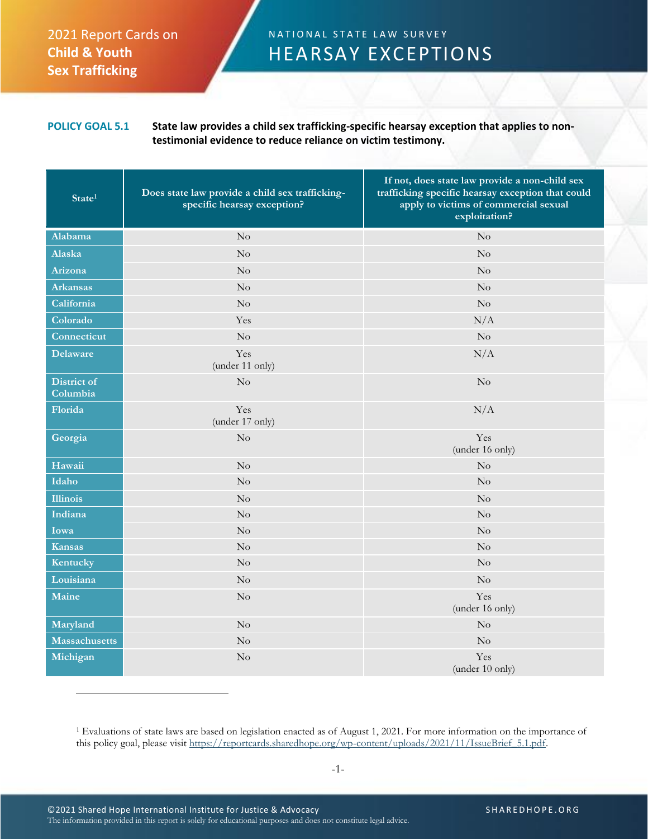## 2021 Report Cards on **Child & Youth Sex Trafficking**

## N A T I O N A L STATE LAW SURVEY HEARSAY EXCEPTIONS

## **POLICY GOAL 5.1 State law provides a child sex trafficking-specific hearsay exception that applies to nontestimonial evidence to reduce reliance on victim testimony.**

| State <sup>1</sup>      | Does state law provide a child sex trafficking-<br>specific hearsay exception? | If not, does state law provide a non-child sex<br>trafficking specific hearsay exception that could<br>apply to victims of commercial sexual<br>exploitation? |
|-------------------------|--------------------------------------------------------------------------------|---------------------------------------------------------------------------------------------------------------------------------------------------------------|
| Alabama                 | No                                                                             | $\rm No$                                                                                                                                                      |
| Alaska                  | No                                                                             | No                                                                                                                                                            |
| Arizona                 | $\overline{\text{No}}$                                                         | $\rm No$                                                                                                                                                      |
| <b>Arkansas</b>         | $\rm No$                                                                       | No                                                                                                                                                            |
| California              | No                                                                             | $\rm No$                                                                                                                                                      |
| Colorado                | Yes                                                                            | N/A                                                                                                                                                           |
| Connecticut             | $\rm No$                                                                       | $\rm No$                                                                                                                                                      |
| <b>Delaware</b>         | Yes<br>(under 11 only)                                                         | N/A                                                                                                                                                           |
| District of<br>Columbia | No                                                                             | No                                                                                                                                                            |
| Florida                 | Yes<br>(under 17 only)                                                         | N/A                                                                                                                                                           |
| Georgia                 | No                                                                             | Yes<br>(under 16 only)                                                                                                                                        |
| Hawaii                  | $\rm No$                                                                       | $\rm No$                                                                                                                                                      |
| Idaho                   | No                                                                             | No                                                                                                                                                            |
| <b>Illinois</b>         | $\rm No$                                                                       | No                                                                                                                                                            |
| Indiana                 | $\rm No$                                                                       | No                                                                                                                                                            |
| Iowa                    | No                                                                             | No                                                                                                                                                            |
| Kansas                  | $\rm No$                                                                       | $\rm No$                                                                                                                                                      |
| Kentucky                | No                                                                             | $\rm No$                                                                                                                                                      |
| Louisiana               | No                                                                             | No                                                                                                                                                            |
| Maine                   | No                                                                             | Yes<br>(under 16 only)                                                                                                                                        |
| Maryland                | $\rm No$                                                                       | No                                                                                                                                                            |
| <b>Massachusetts</b>    | $\rm No$                                                                       | $\rm No$                                                                                                                                                      |
| Michigan                | $\rm No$                                                                       | Yes<br>(under 10 only)                                                                                                                                        |

<sup>&</sup>lt;sup>1</sup> Evaluations of state laws are based on legislation enacted as of August 1, 2021. For more information on the importance of this policy goal, please visit [https://reportcards.sharedhope.org/wp-content/uploads/2021/11/IssueBrief\\_5.1.pdf.](https://reportcards.sharedhope.org/wp-content/uploads/2021/11/IssueBrief_5.1.pdf)